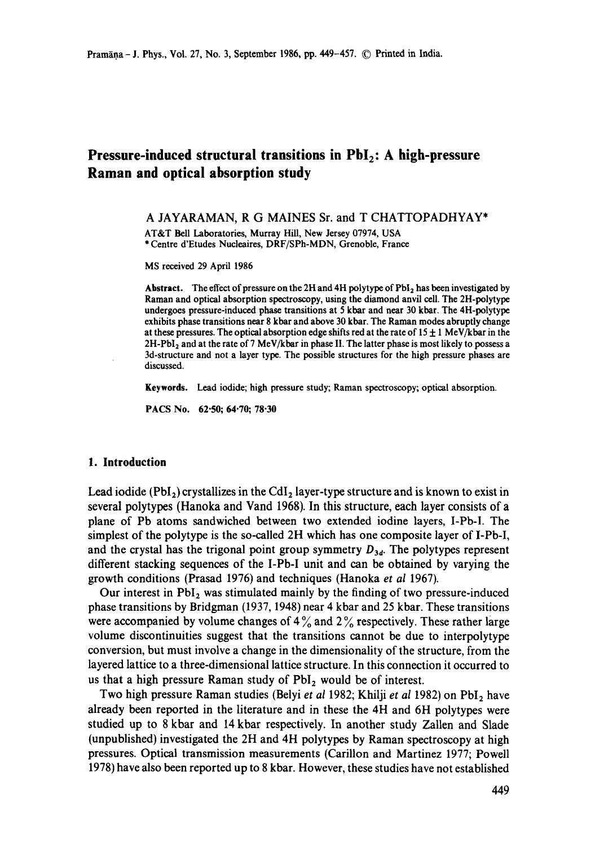# **Pressure-induced structural transitions in PbI<sub>2</sub>: A high-pressure Raman and optical absorption study**

A JAYARAMAN, R G MAINES Sr. and T CHATTOPADHYAY\*

AT&T Bell Laboratories, Murray Hill, New Jersey 07974, USA \* Centre d'Etudes Nucleaires, DRF/SPh-MDN, Grenoble, France

MS received 29 April 1986

Abstract. The effect of pressure on the 2H and 4H polytype of PbI<sub>2</sub> has been investigated by Raman and optical absorption spectroscopy, using the diamond anvil cell. The 2H-polytype undergoes pressure-induced phase transitions at 5 kbar and near 30 kbar. The 4H-polytype exhibits phase transitions near 8 kbar and above 30 kbar. The Raman modes abruptly change at these pressures. The optical absorption edge shifts red at the rate of  $15 \pm 1$  MeV/kbar in the  $2H-PbI<sub>2</sub>$  and at the rate of 7 MeV/kbar in phase II. The latter phase is most likely to possess a 3d-structure and not a layer type. The possible structures for the high pressure phases are discussed.

**Keywords.** Lead iodide; high pressure study; Raman spectroscopy; optical absorption.

PACS No. 62.50; 64.70; 78.30

#### **1. Introduction**

Lead iodide (PbI<sub>2</sub>) crystallizes in the CdI<sub>2</sub> layer-type structure and is known to exist in several polytypes (Hanoka and Vand 1968). In this structure, each layer consists of a plane of Pb atoms sandwiched between two extended iodine layers, I-Pb-I. The simplest of the polytype is the so-called 2H which has one composite layer of I-Pb-I, and the crystal has the trigonal point group symmetry  $D_{3d}$ . The polytypes represent different stacking sequences of the I-Pb-I unit and can be obtained by varying the growth conditions (Prasad 1976) and techniques (Hanoka *et al* 1967).

Our interest in  $PbI_2$  was stimulated mainly by the finding of two pressure-induced phase transitions by Bridgman (1937, 1948) near 4 kbar and 25 kbar. These transitions were accompanied by volume changes of  $4\%$  and  $2\%$  respectively. These rather large volume discontinuities suggest that the transitions cannot be due to interpolytype conversion, but must involve a change in the dimensionality of the structure, from the layered lattice to a three-dimensional lattice structure. In this connection it occurred to us that a high pressure Raman study of  $PbI<sub>2</sub>$  would be of interest.

Two high pressure Raman studies (Belyi *et al* 1982; Khilji *et al* 1982) on PbI<sub>2</sub> have already been reported in the literature and in these the 4H and 6H polytypes were studied up to 8 kbar and 14 kbar respectively. In another study Zallen and Slade (unpublished) investigated the 2H and 4H polytypes by Raman spectroscopy at high pressures. Optical transmission measurements (Carillon and Martinez 1977; Powell 1978) have also been reported up to 8 kbar. However, these studies have not established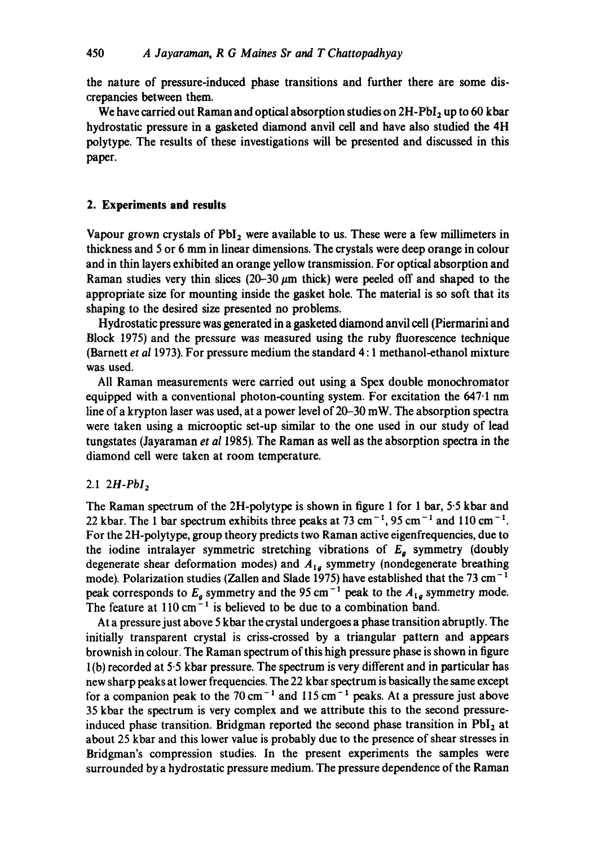the nature of pressure-induced phase transitions and further there are some discrepancies between them.

We have carried out Raman and optical absorption studies on  $2H-PbI_2$  up to 60 kbar hydrostatic pressure in a gasketed diamond anvil cell and have also studied the 4H polytype. The results of these investigations will be presented and discussed in this paper.

# **2. Experiments and results**

Vapour grown crystals of  $PbI_2$  were available to us. These were a few millimeters in thickness and 5 or 6 mm in linear dimensions. The crystals were deep orange in colour and in thin layers exhibited an orange yellow transmission. For optical absorption and Raman studies very thin slices (20–30  $\mu$ m thick) were peeled off and shaped to the appropriate size for mounting inside the gasket hole. The material is so soft that its shaping to the desired size presented no problems.

Hydrostatic pressure was generated in a gasketed diamond anvil cell (Piermarini and Block 1975) and the pressure was measured using the ruby fluorescence technique (Barnett *et al* 1973). For pressure medium the standard 4: 1 methanol-ethanol mixture was used.

All Raman measurements were carried out using a Spex double monochromator equipped with a conventional photon-counting system. For excitation the 647.1 nm line of a krypton laser was used, at a power level of 20-30 mW. The absorption spectra were taken using a microoptic set-up similar to the one used in our study of lead tungstates (Jayaraman *et al* 1985). The Raman as well as the absorption spectra in the diamond cell were taken at room temperature.

#### 2.1 *2H-PbI2*

The Raman spectrum of the 2H-polytype is shown in figure 1 for 1 bar, 5-5 kbar and 22 kbar. The 1 bar spectrum exhibits three peaks at 73 cm<sup>-1</sup>, 95 cm<sup>-1</sup> and 110 cm<sup>-1</sup>. For the 2H-polytype, group theory predicts two Raman active eigenfrequencies, due to the iodine intralayer symmetric stretching vibrations of  $E<sub>g</sub>$  symmetry (doubly degenerate shear deformation modes) and  $A_{1g}$  symmetry (nondegenerate breathing mode). Polarization studies (Zallen and Slade 1975) have established that the 73 cm<sup>-1</sup> peak corresponds to  $E<sub>g</sub>$  symmetry and the 95 cm<sup>-1</sup> peak to the  $A<sub>1g</sub>$  symmetry mode. The feature at  $110 \text{ cm}^{-1}$  is believed to be due to a combination band.

At a pressure just above 5 kbar the crystal undergoes a phase transition abruptly. The initially transparent crystal is criss-crossed by a triangular pattern and appears brownish in colour. The Raman spectrum of this high pressure phase is shown in figure 1 (b) recorded at 5.5 kbar pressure. The spectrum is very different and in particular has new sharp peaks at lower frequencies. The 22 kbar spectrum is basically the same except for a companion peak to the 70 cm<sup>-1</sup> and 115 cm<sup>-1</sup> peaks. At a pressure just above 35 kbar the spectrum is very complex and we attribute this to the second pressureinduced phase transition. Bridgman reported the second phase transition in  $PbI<sub>2</sub>$  at about 25 kbar and this lower value is probably due to the presence of shear stresses in Bridgman's compression studies. In the present experiments the samples were surrounded by a hydrostatic pressure medium. The pressure dependence of the Raman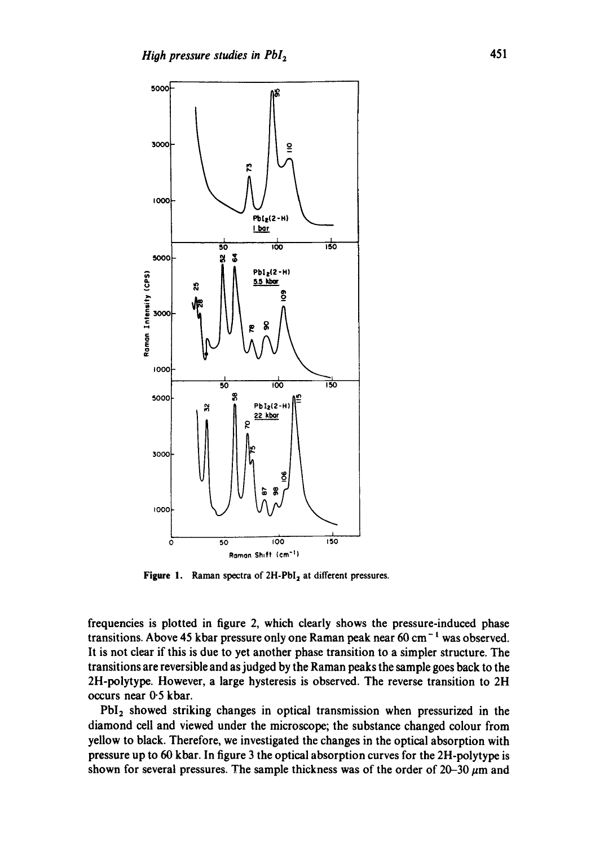

**Figure 1.** Raman spectra of 2H-PbI<sub>2</sub> at different pressures.

**frequencies is plotted in figure 2, which dearly shows the pressure-induced phase**  transitions. Above 45 kbar pressure only one Raman peak near 60 cm<sup>-1</sup> was observed. **It is not clear if this is due to yet another phase transition to a simpler structure. The transitions are reversible and as judged by the Raman peaks the sample goes back to the 2H-polytype. However, a large hysteresis is observed. The reverse transition to 2H occurs near 0"5 kbar.** 

**PbI2 showed striking changes in optical transmission when pressurized in the diamond cell and viewed under the microscope; the substance changed colour from yellow to black. Therefore, we investigated the changes in the optical absorption with pressure up to 60 kbar. In figure 3 the optical absorption curves for the 2H-polytype is**  shown for several pressures. The sample thickness was of the order of  $20-30~\mu m$  and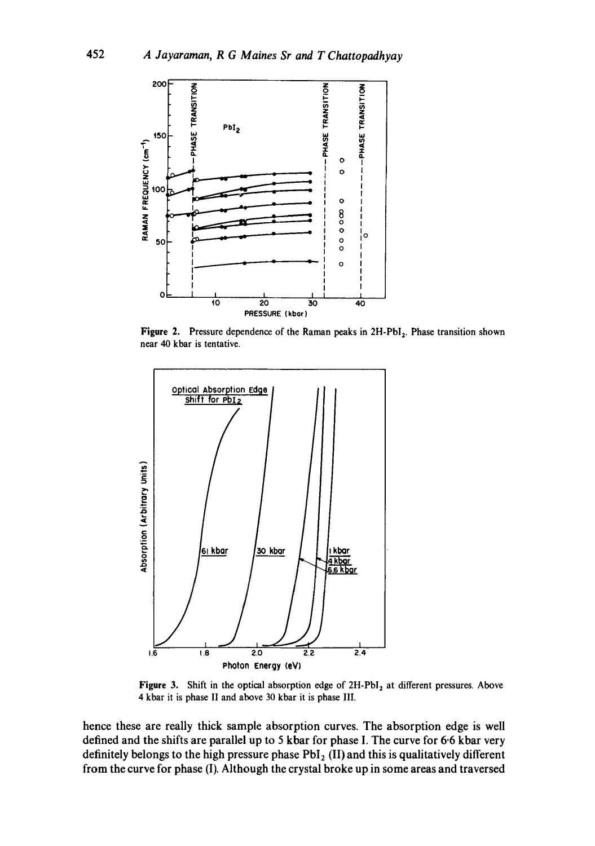

**Figure 2.** Pressure dependence of the Raman peaks in 2H-PbI<sub>2</sub>. Phase transition shown **near 40 kbar is tentative.** 



Figure 3. Shift in the optical absorption edge of 2H-PbI<sub>2</sub> at different pressures. Above 4 kbar it **is phase II and above 30 kbar it is phase** III.

**hence these are really thick sample absorption curves. The absorption edge is well defined and the shifts are parallel up to 5 kbar for phase I. The curve for 6.6 kbar very**  definitely belongs to the high pressure phase PbI<sub>2</sub> (II) and this is qualitatively different **from the curve for phase (I). Although the crystal broke up in some areas and traversed**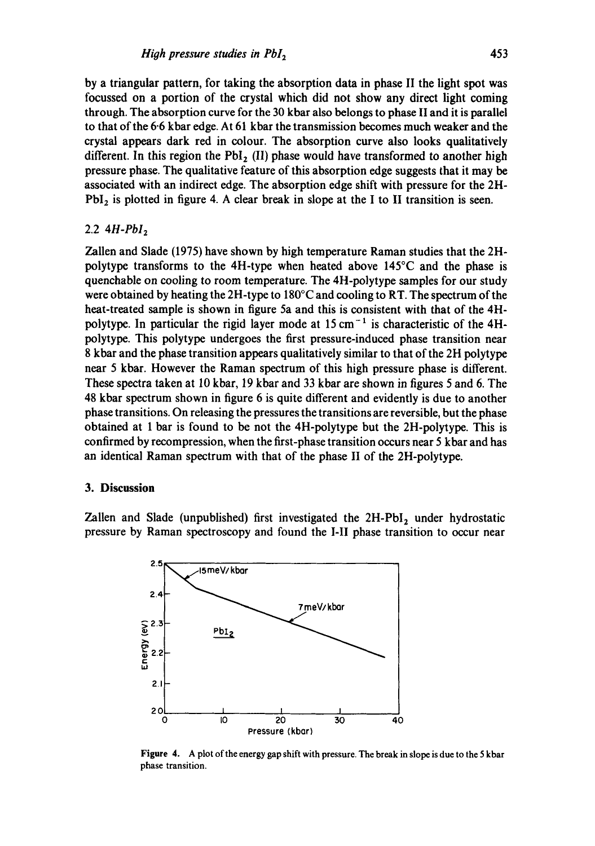by a triangular pattern, for taking the absorption data in phase II the light spot was focussed on a portion of the crystal which did not show any direct light coming through. The absorption curve for the 30 kbar also belongs to phase II and it is parallel to that of the 6-6 kbar edge. At 61 kbar the transmission becomes much weaker and the crystal appears dark red in colour. The absorption curve also looks qualitatively different. In this region the  $PbI_2$  (II) phase would have transformed to another high pressure phase. The qualitative feature of this absorption edge suggests that it may be associated with an indirect edge. The absorption edge shift with pressure for the 2H- $PbI<sub>2</sub>$  is plotted in figure 4. A clear break in slope at the I to II transition is seen.

# 2.2 *4H-PhI2*

Zallen and Slade (1975) have shown by high temperature Raman studies that the 2Hpolytype transforms to the 4H-type when heated above 145°C and the phase is quenchable on cooling to room temperature. The 4H-polytype samples for our study were obtained by heating the 2H-type to 180°C and cooling to RT. The spectrum of the heat-treated sample is shown in figure 5a and this is consistent with that of the 4Hpolytype. In particular the rigid layer mode at  $15 \text{ cm}^{-1}$  is characteristic of the 4Hpolytype. This polytype undergoes the first pressure-induced phase transition near 8 kbar and the phase transition appears qualitatively similar to that of the 2H polytype near 5 kbar. However the Raman spectrum of this high pressure phase is different. These spectra taken at 10 kbar, 19 kbar and 33 khar are shown in figures 5 and 6. The 48 kbar spectrum shown in figure 6 is quite different and evidently is due to another phase transitions. On releasing the pressures the transitions are reversible, but the phase obtained at 1 bar is found to be not the 4H-polytype but the 2H-polytype. This is confirmed by recompression, when the first-phase transition occurs near 5 kbar and has an identical Raman spectrum with that of the phase II of the 2H-polytype.

## 3. **Discussion**

Zallen and Slade (unpublished) first investigated the  $2H-PbI_2$  under hydrostatic pressure by Raman spectroscopy and found the I-II phase transition to occur near



**Figure** 4. A plot of the energy gap shift with pressure. The break in slope is due to the 5 kbar phase transition.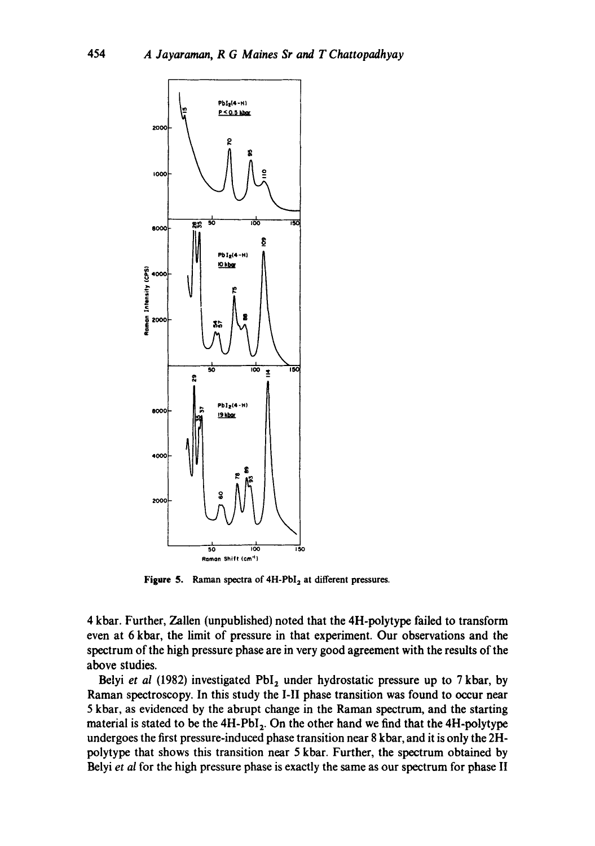

Figure 5. Raman spectra of 4H-PbI<sub>2</sub> at different pressures.

4 kbar. Further, Zallen (unpublished) noted that the 4H-polytype failed to transform even at 6 kbar, the limit of pressure in that experiment. Our observations and the spectrum of the high pressure phase are in very good agreement with the results of the above studies.

Belyi *et al* (1982) investigated PbI<sub>2</sub> under hydrostatic pressure up to 7 kbar, by Raman spectroscopy. In this study the I-II phase transition was found to occur near 5 kbar, as evidenced by the abrupt change in the Raman spectrum, and the starting material is stated to be the  $4H-PbI_2$ . On the other hand we find that the  $4H-polytype$ undergoes the first pressure-induced phase transition near 8 kbar, and it is only the 2Hpolytype that shows this transition near 5 kbar. Further, the spectrum obtained by Belyi *et al* for the high pressure phase is exactly the same as our spectrum for phase II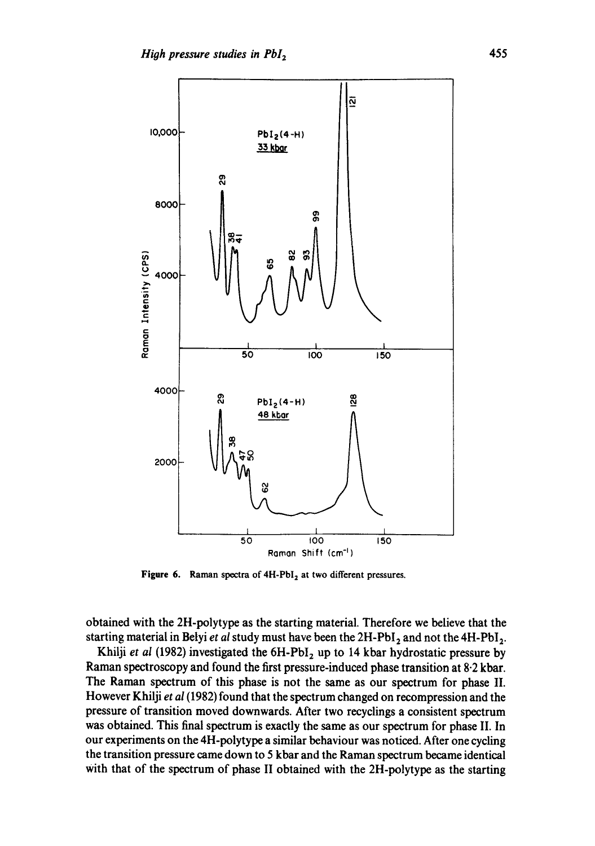

Figure 6. Raman spectra of 4H-PbI<sub>2</sub> at two different pressures.

obtained with the 2H-polytype as the starting material. Therefore we believe that the starting material in Belyi *et al* study must have been the 2H-PbI<sub>2</sub> and not the 4H-PbI<sub>2</sub>.

Khilji *et al* (1982) investigated the 6H-PbI<sub>2</sub> up to 14 kbar hydrostatic pressure by Raman spectroscopy and found the first pressure-induced phase transition at 8.2 kbar. The Raman spectrum of this phase is not the same as our spectrum for phase II. However Khilji *et al* (1982) found that the spectrum changed on recompression and the pressure of transition moved downwards. After two recyclings a consistent spectrum was obtained. This final spectrum is exactly the same as our spectrum for phase II. In our experiments on the 4H-polytype a similar behaviour was noticed. After one cycling the transition pressure came down to 5 kbar and the Raman spectrum became identical with that of the spectrum of phase II obtained with the 2H-polytype as the starting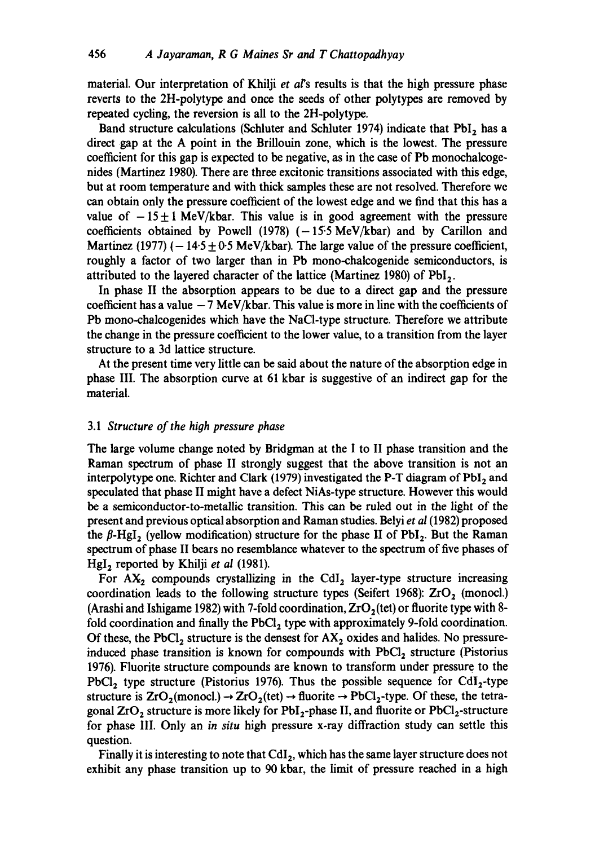material. Our interpretation of Khilji et al's results is that the high pressure phase reverts to the 2H-polytype and once the seeds of other polytypes are removed by repeated cycling, the reversion is all to the 2H-polytype.

Band structure calculations (Schluter and Schluter 1974) indicate that PbI, has a direct gap at the A point in the Brillouin zone, which is the lowest. The pressure coefficient for this gap is expected to be negative, as in the case of Pb monochalcogenides (Martinez 1980). There are three excitonic transitions associated with this edge, but at room temperature and with thick samples these are not resolved. Therefore we can obtain only the pressure coefficient of the lowest edge and we find that this has a value of  $-15\pm 1$  MeV/kbar. This value is in good agreement with the pressure coefficients obtained by Powell (1978)  $(-15.5 \text{ MeV/kbar})$  and by Carillon and Martinez (1977) ( $-14.5 \pm 0.5$  MeV/kbar). The large value of the pressure coefficient, roughly a factor of two larger than in Pb mono-chalcogenide semiconductors, is attributed to the layered character of the lattice (Martinez 1980) of  $PbI<sub>2</sub>$ .

In phase II the absorption appears to be due to a direct gap and the pressure coefficient has a value  $-7$  MeV/kbar. This value is more in line with the coefficients of Pb mono-chalcogenides which have the NaCl-type structure. Therefore we attribute the change in the pressure coefficient to the lower value, to a transition from the layer structure to a 3d lattice structure.

At the present time very little can be said about the nature of the absorption edge in phase III. The absorption curve at 61 kbar is suggestive of an indirect gap for the material.

## *3.1 Structure of the high pressure phase*

The large volume change noted by Bridgman at the I to II phase transition and the Raman spectrum of phase II strongly suggest that the above transition is not an interpolytype one. Richter and Clark (1979) investigated the P-T diagram of  $PbI<sub>2</sub>$  and speculated that phase II might have a defect NiAs-type structure. However this would be a semiconductor-to-metallic transition. This can be ruled out in the light of the present and previous optical absorption and Raman studies. Belyi *et al* (1982) proposed the  $\beta$ -HgI<sub>2</sub> (yellow modification) structure for the phase II of PbI<sub>2</sub>. But the Raman spectrum of phase II bears no resemblance whatever to the spectrum of five phases of HgI<sub>2</sub> reported by Khilji *et al* (1981).

For  $AX_2$  compounds crystallizing in the CdI<sub>2</sub> layer-type structure increasing coordination leads to the following structure types (Seifert 1968):  $ZrO<sub>2</sub>$  (monocl.) (Arashi and Ishigame 1982) with 7-fold coordination,  $ZrO<sub>2</sub>(tet)$  or fluorite type with 8fold coordination and finally the  $PbCl<sub>2</sub>$  type with approximately 9-fold coordination. Of these, the PbCl<sub>2</sub> structure is the densest for  $AX_2$  oxides and halides. No pressureinduced phase transition is known for compounds with PbCl<sub>2</sub> structure (Pistorius 1976). Fluorite structure compounds are known to transform under pressure to the PbCl<sub>2</sub> type structure (Pistorius 1976). Thus the possible sequence for CdI<sub>2</sub>-type structure is  $ZrO_2$ (monocl.)  $\rightarrow ZrO_2$ (tet)  $\rightarrow$  fluorite  $\rightarrow$  PbCl<sub>2</sub>-type. Of these, the tetragonal  $ZrO<sub>2</sub>$  structure is more likely for PbI<sub>2</sub>-phase II, and fluorite or PbCl<sub>2</sub>-structure for phase III. Only an *in situ* high pressure x-ray diffraction study can settle this question.

Finally it is interesting to note that CdI<sub>2</sub>, which has the same layer structure does not exhibit any phase transition up to 90 kbar, the limit of pressure reached in a high